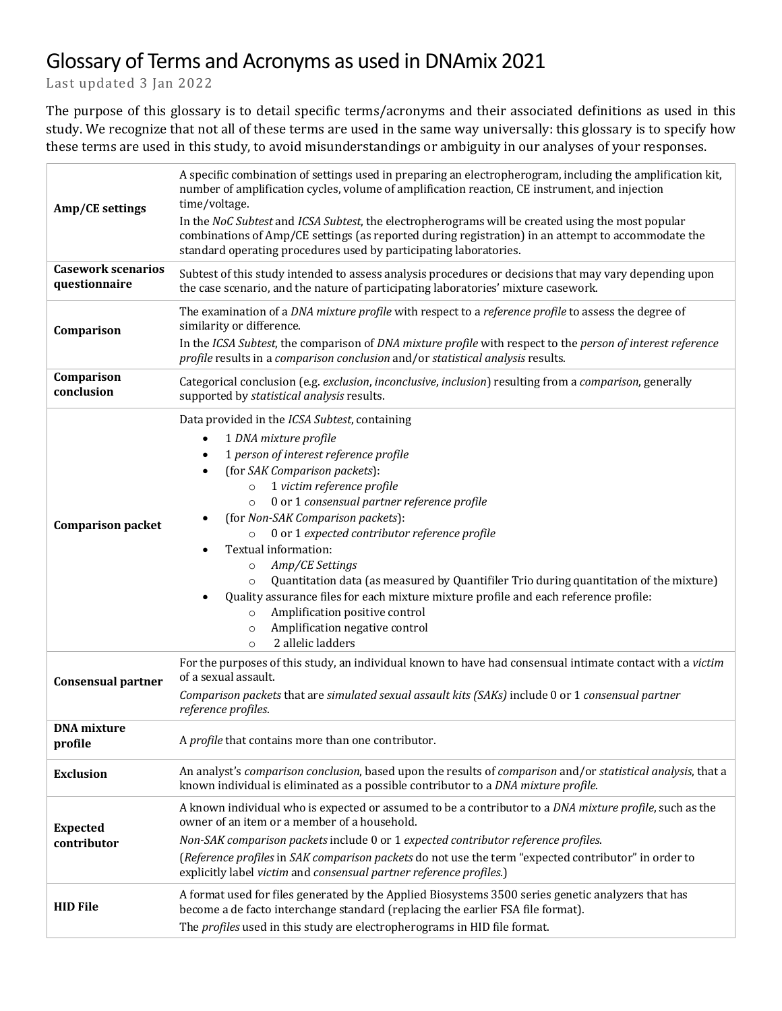## Glossary of Terms and Acronyms as used in DNAmix 2021

Last updated 3 Jan 2022

The purpose of this glossary is to detail specific terms/acronyms and their associated definitions as used in this study. We recognize that not all of these terms are used in the same way universally: this glossary is to specify how these terms are used in this study, to avoid misunderstandings or ambiguity in our analyses of your responses.

| Amp/CE settings<br><b>Casework scenarios</b><br>questionnaire | A specific combination of settings used in preparing an electropherogram, including the amplification kit,<br>number of amplification cycles, volume of amplification reaction, CE instrument, and injection<br>time/voltage.<br>In the NoC Subtest and ICSA Subtest, the electropherograms will be created using the most popular<br>combinations of Amp/CE settings (as reported during registration) in an attempt to accommodate the<br>standard operating procedures used by participating laboratories.<br>Subtest of this study intended to assess analysis procedures or decisions that may vary depending upon<br>the case scenario, and the nature of participating laboratories' mixture casework.           |
|---------------------------------------------------------------|-------------------------------------------------------------------------------------------------------------------------------------------------------------------------------------------------------------------------------------------------------------------------------------------------------------------------------------------------------------------------------------------------------------------------------------------------------------------------------------------------------------------------------------------------------------------------------------------------------------------------------------------------------------------------------------------------------------------------|
| Comparison                                                    | The examination of a DNA mixture profile with respect to a reference profile to assess the degree of<br>similarity or difference.<br>In the ICSA Subtest, the comparison of DNA mixture profile with respect to the person of interest reference<br>profile results in a comparison conclusion and/or statistical analysis results.                                                                                                                                                                                                                                                                                                                                                                                     |
| Comparison<br>conclusion                                      | Categorical conclusion (e.g. exclusion, inconclusive, inclusion) resulting from a comparison, generally<br>supported by statistical analysis results.                                                                                                                                                                                                                                                                                                                                                                                                                                                                                                                                                                   |
| <b>Comparison packet</b>                                      | Data provided in the ICSA Subtest, containing<br>1 DNA mixture profile<br>1 person of interest reference profile<br>(for SAK Comparison packets):<br>1 victim reference profile<br>$\circ$<br>0 or 1 consensual partner reference profile<br>$\circ$<br>(for Non-SAK Comparison packets):<br>0 or 1 expected contributor reference profile<br>Textual information:<br>Amp/CE Settings<br>$\circ$<br>Quantitation data (as measured by Quantifiler Trio during quantitation of the mixture)<br>$\circ$<br>Quality assurance files for each mixture mixture profile and each reference profile:<br>Amplification positive control<br>$\circ$<br>Amplification negative control<br>$\circ$<br>2 allelic ladders<br>$\circ$ |
| <b>Consensual partner</b>                                     | For the purposes of this study, an individual known to have had consensual intimate contact with a victim<br>of a sexual assault.<br>Comparison packets that are simulated sexual assault kits (SAKs) include 0 or 1 consensual partner<br>reference profiles.                                                                                                                                                                                                                                                                                                                                                                                                                                                          |
| <b>DNA</b> mixture<br>profile                                 | A profile that contains more than one contributor.                                                                                                                                                                                                                                                                                                                                                                                                                                                                                                                                                                                                                                                                      |
| <b>Exclusion</b>                                              | An analyst's comparison conclusion, based upon the results of comparison and/or statistical analysis, that a<br>known individual is eliminated as a possible contributor to a DNA mixture profile.                                                                                                                                                                                                                                                                                                                                                                                                                                                                                                                      |
| <b>Expected</b><br>contributor                                | A known individual who is expected or assumed to be a contributor to a DNA mixture profile, such as the<br>owner of an item or a member of a household.<br>Non-SAK comparison packets include 0 or 1 expected contributor reference profiles.<br>(Reference profiles in SAK comparison packets do not use the term "expected contributor" in order to<br>explicitly label victim and consensual partner reference profiles.)                                                                                                                                                                                                                                                                                            |
| <b>HID File</b>                                               | A format used for files generated by the Applied Biosystems 3500 series genetic analyzers that has<br>become a de facto interchange standard (replacing the earlier FSA file format).<br>The profiles used in this study are electropherograms in HID file format.                                                                                                                                                                                                                                                                                                                                                                                                                                                      |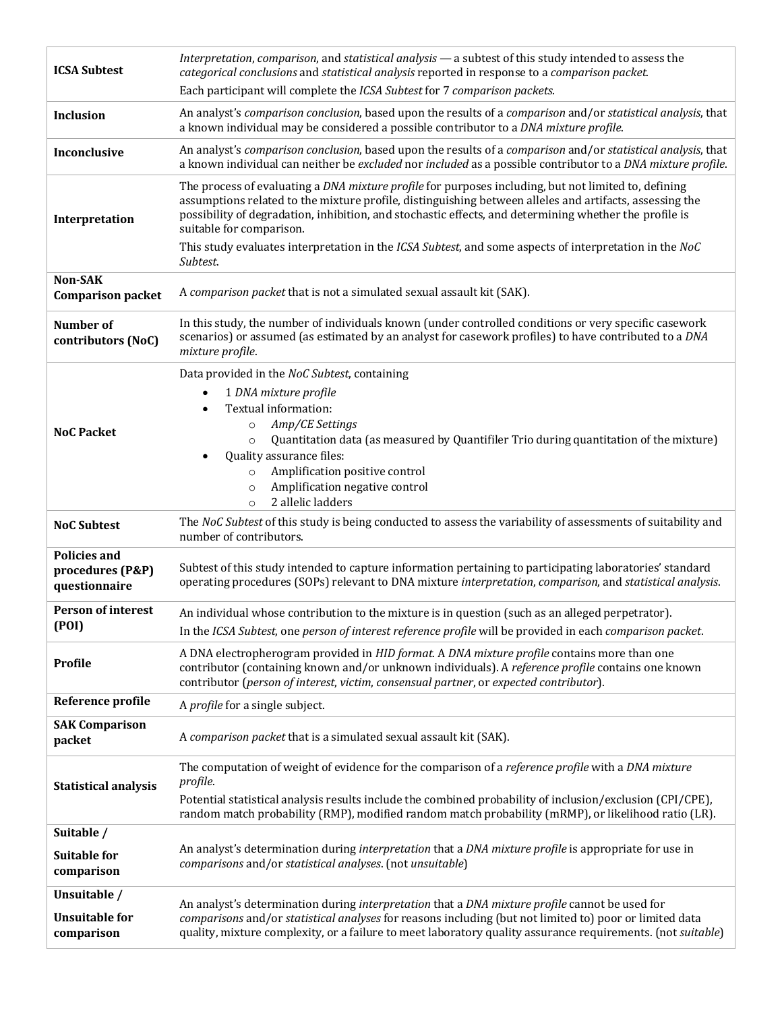| <b>ICSA Subtest</b>                                      | Interpretation, comparison, and statistical analysis - a subtest of this study intended to assess the<br>categorical conclusions and statistical analysis reported in response to a comparison packet.<br>Each participant will complete the ICSA Subtest for 7 comparison packets.                                                                                                                                                                                         |
|----------------------------------------------------------|-----------------------------------------------------------------------------------------------------------------------------------------------------------------------------------------------------------------------------------------------------------------------------------------------------------------------------------------------------------------------------------------------------------------------------------------------------------------------------|
| Inclusion                                                | An analyst's comparison conclusion, based upon the results of a comparison and/or statistical analysis, that<br>a known individual may be considered a possible contributor to a DNA mixture profile.                                                                                                                                                                                                                                                                       |
| Inconclusive                                             | An analyst's comparison conclusion, based upon the results of a comparison and/or statistical analysis, that<br>a known individual can neither be excluded nor included as a possible contributor to a DNA mixture profile.                                                                                                                                                                                                                                                 |
| Interpretation                                           | The process of evaluating a DNA mixture profile for purposes including, but not limited to, defining<br>assumptions related to the mixture profile, distinguishing between alleles and artifacts, assessing the<br>possibility of degradation, inhibition, and stochastic effects, and determining whether the profile is<br>suitable for comparison.<br>This study evaluates interpretation in the ICSA Subtest, and some aspects of interpretation in the NoC<br>Subtest. |
| Non-SAK<br><b>Comparison packet</b>                      | A comparison packet that is not a simulated sexual assault kit (SAK).                                                                                                                                                                                                                                                                                                                                                                                                       |
| Number of<br>contributors (NoC)                          | In this study, the number of individuals known (under controlled conditions or very specific casework<br>scenarios) or assumed (as estimated by an analyst for casework profiles) to have contributed to a DNA<br>mixture profile.                                                                                                                                                                                                                                          |
| <b>NoC Packet</b>                                        | Data provided in the NoC Subtest, containing<br>1 DNA mixture profile<br>Textual information:<br>Amp/CE Settings<br>$\circ$<br>Quantitation data (as measured by Quantifiler Trio during quantitation of the mixture)<br>$\circ$<br>Quality assurance files:<br>Amplification positive control<br>$\circ$<br>Amplification negative control<br>$\circ$<br>2 allelic ladders<br>$\circ$                                                                                      |
| <b>NoC Subtest</b>                                       | The NoC Subtest of this study is being conducted to assess the variability of assessments of suitability and<br>number of contributors.                                                                                                                                                                                                                                                                                                                                     |
| <b>Policies and</b><br>procedures (P&P)<br>questionnaire | Subtest of this study intended to capture information pertaining to participating laboratories' standard<br>operating procedures (SOPs) relevant to DNA mixture interpretation, comparison, and statistical analysis.                                                                                                                                                                                                                                                       |
| <b>Person of interest</b><br>(POI)                       | An individual whose contribution to the mixture is in question (such as an alleged perpetrator).<br>In the ICSA Subtest, one person of interest reference profile will be provided in each comparison packet.                                                                                                                                                                                                                                                               |
| Profile                                                  | A DNA electropherogram provided in HID format. A DNA mixture profile contains more than one<br>contributor (containing known and/or unknown individuals). A reference profile contains one known<br>contributor (person of interest, victim, consensual partner, or expected contributor).                                                                                                                                                                                  |
| Reference profile                                        | A profile for a single subject.                                                                                                                                                                                                                                                                                                                                                                                                                                             |
| <b>SAK Comparison</b><br>packet                          | A comparison packet that is a simulated sexual assault kit (SAK).                                                                                                                                                                                                                                                                                                                                                                                                           |
| <b>Statistical analysis</b>                              | The computation of weight of evidence for the comparison of a reference profile with a DNA mixture<br>profile.<br>Potential statistical analysis results include the combined probability of inclusion/exclusion (CPI/CPE),<br>random match probability (RMP), modified random match probability (mRMP), or likelihood ratio (LR).                                                                                                                                          |
| Suitable /<br><b>Suitable for</b><br>comparison          | An analyst's determination during interpretation that a DNA mixture profile is appropriate for use in<br>comparisons and/or statistical analyses. (not unsuitable)                                                                                                                                                                                                                                                                                                          |
| Unsuitable /<br><b>Unsuitable for</b><br>comparison      | An analyst's determination during interpretation that a DNA mixture profile cannot be used for<br>comparisons and/or statistical analyses for reasons including (but not limited to) poor or limited data<br>quality, mixture complexity, or a failure to meet laboratory quality assurance requirements. (not suitable)                                                                                                                                                    |